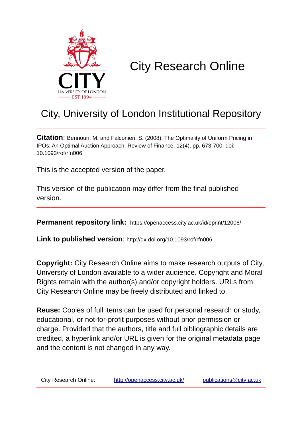

# City Research Online

# City, University of London Institutional Repository

**Citation**: Bennouri, M. and Falconieri, S. (2008). The Optimality of Uniform Pricing in IPOs: An Optimal Auction Approach. Review of Finance, 12(4), pp. 673-700. doi: 10.1093/rof/rfn006

This is the accepted version of the paper.

This version of the publication may differ from the final published version.

**Permanent repository link:** https://openaccess.city.ac.uk/id/eprint/12006/

**Link to published version**: http://dx.doi.org/10.1093/rof/rfn006

**Copyright:** City Research Online aims to make research outputs of City, University of London available to a wider audience. Copyright and Moral Rights remain with the author(s) and/or copyright holders. URLs from City Research Online may be freely distributed and linked to.

**Reuse:** Copies of full items can be used for personal research or study, educational, or not-for-profit purposes without prior permission or charge. Provided that the authors, title and full bibliographic details are credited, a hyperlink and/or URL is given for the original metadata page and the content is not changed in any way.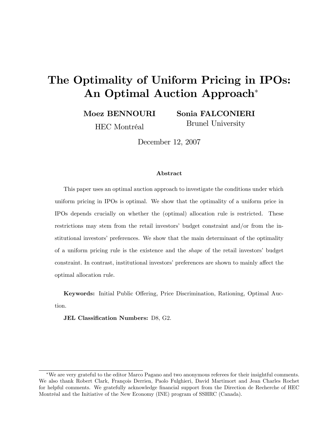## The Optimality of Uniform Pricing in IPOs: An Optimal Auction Approach

Moez BENNOURI

Sonia FALCONIERI Brunel University

HEC Montréal

December 12, 2007

#### Abstract

This paper uses an optimal auction approach to investigate the conditions under which uniform pricing in IPOs is optimal. We show that the optimality of a uniform price in IPOs depends crucially on whether the (optimal) allocation rule is restricted. These restrictions may stem from the retail investors' budget constraint and/or from the institutional investors' preferences. We show that the main determinant of the optimality of a uniform pricing rule is the existence and the *shape* of the retail investors' budget constraint. In contrast, institutional investors' preferences are shown to mainly affect the optimal allocation rule.

Keywords: Initial Public Offering, Price Discrimination, Rationing, Optimal Auction.

JEL Classification Numbers: D8, G2.

We are very grateful to the editor Marco Pagano and two anonymous referees for their insightful comments. We also thank Robert Clark, François Derrien, Paolo Fulghieri, David Martimort and Jean Charles Rochet for helpful comments. We gratefully acknowledge financial support from the Direction de Recherche of HEC Montréal and the Initiative of the New Economy (INE) program of SSHRC (Canada).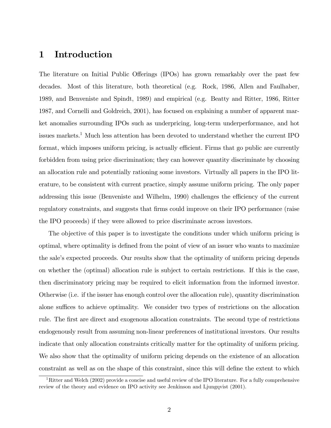## 1 Introduction

The literature on Initial Public Offerings (IPOs) has grown remarkably over the past few decades. Most of this literature, both theoretical (e.g. Rock, 1986, Allen and Faulhaber, 1989, and Benveniste and Spindt, 1989) and empirical (e.g. Beatty and Ritter, 1986, Ritter 1987, and Cornelli and Goldreich, 2001), has focused on explaining a number of apparent market anomalies surrounding IPOs such as underpricing, long-term underperformance, and hot issues markets.<sup>1</sup> Much less attention has been devoted to understand whether the current IPO format, which imposes uniform pricing, is actually efficient. Firms that go public are currently forbidden from using price discrimination; they can however quantity discriminate by choosing an allocation rule and potentially rationing some investors. Virtually all papers in the IPO literature, to be consistent with current practice, simply assume uniform pricing. The only paper addressing this issue (Benveniste and Wilhelm, 1990) challenges the efficiency of the current regulatory constraints, and suggests that firms could improve on their IPO performance (raise the IPO proceeds) if they were allowed to price discriminate across investors.

The objective of this paper is to investigate the conditions under which uniform pricing is optimal, where optimality is defined from the point of view of an issuer who wants to maximize the sale's expected proceeds. Our results show that the optimality of uniform pricing depends on whether the (optimal) allocation rule is subject to certain restrictions. If this is the case, then discriminatory pricing may be required to elicit information from the informed investor. Otherwise (i.e. if the issuer has enough control over the allocation rule), quantity discrimination alone suffices to achieve optimality. We consider two types of restrictions on the allocation rule. The first are direct and exogenous allocation constraints. The second type of restrictions endogenously result from assuming non-linear preferences of institutional investors. Our results indicate that only allocation constraints critically matter for the optimality of uniform pricing. We also show that the optimality of uniform pricing depends on the existence of an allocation constraint as well as on the shape of this constraint, since this will define the extent to which

<sup>&</sup>lt;sup>1</sup>Ritter and Welch (2002) provide a concise and useful review of the IPO literature. For a fully comprehensive review of the theory and evidence on IPO activity see Jenkinson and Ljungqvist (2001).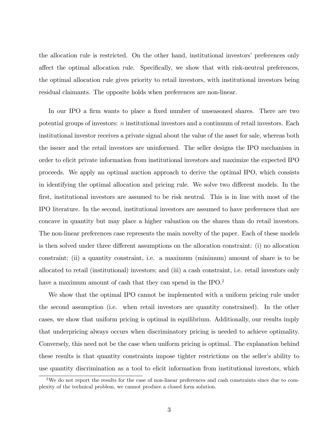the allocation rule is restricted. On the other hand, institutional investors' preferences only affect the optimal allocation rule. Specifically, we show that with risk-neutral preferences, the optimal allocation rule gives priority to retail investors, with institutional investors being residual claimants. The opposite holds when preferences are non-linear.

In our IPO a firm wants to place a fixed number of unseasoned shares. There are two potential groups of investors:  $n$  institutional investors and a continuum of retail investors. Each institutional investor receives a private signal about the value of the asset for sale, whereas both the issuer and the retail investors are uninformed. The seller designs the IPO mechanism in order to elicit private information from institutional investors and maximize the expected IPO proceeds. We apply an optimal auction approach to derive the optimal IPO, which consists in identifying the optimal allocation and pricing rule. We solve two different models. In the first, institutional investors are assumed to be risk neutral. This is in line with most of the IPO literature. In the second, institutional investors are assumed to have preferences that are concave in quantity but may place a higher valuation on the shares than do retail investors. The non-linear preferences case represents the main novelty of the paper. Each of these models is then solved under three different assumptions on the allocation constraint: (i) no allocation constraint; (ii) a quantity constraint, i.e. a maximum (minimum) amount of share is to be allocated to retail (institutional) investors; and (iii) a cash constraint, i.e. retail investors only have a maximum amount of cash that they can spend in the IPO.<sup>2</sup>

We show that the optimal IPO cannot be implemented with a uniform pricing rule under the second assumption (i.e. when retail investors are quantity constrained). In the other cases, we show that uniform pricing is optimal in equilibrium. Additionally, our results imply that underpricing always occurs when discriminatory pricing is needed to achieve optimality. Conversely, this need not be the case when uniform pricing is optimal. The explanation behind these results is that quantity constraints impose tighter restrictions on the seller's ability to use quantity discrimination as a tool to elicit information from institutional investors, which

<sup>2</sup>We do not report the results for the case of non-linear preferences and cash constraints since due to complexity of the technical problem, we cannot produce a closed form solution.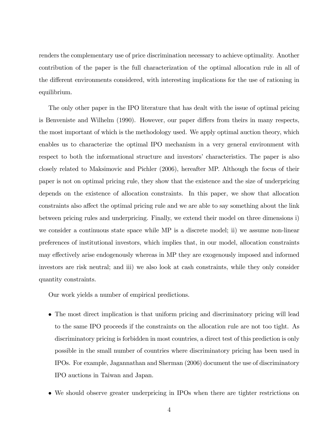renders the complementary use of price discrimination necessary to achieve optimality. Another contribution of the paper is the full characterization of the optimal allocation rule in all of the different environments considered, with interesting implications for the use of rationing in equilibrium.

The only other paper in the IPO literature that has dealt with the issue of optimal pricing is Benveniste and Wilhelm (1990). However, our paper differs from theirs in many respects, the most important of which is the methodology used. We apply optimal auction theory, which enables us to characterize the optimal IPO mechanism in a very general environment with respect to both the informational structure and investors' characteristics. The paper is also closely related to Maksimovic and Pichler (2006), hereafter MP. Although the focus of their paper is not on optimal pricing rule, they show that the existence and the size of underpricing depends on the existence of allocation constraints. In this paper, we show that allocation constraints also affect the optimal pricing rule and we are able to say something about the link between pricing rules and underpricing. Finally, we extend their model on three dimensions i) we consider a continuous state space while MP is a discrete model; ii) we assume non-linear preferences of institutional investors, which implies that, in our model, allocation constraints may effectively arise endogenously whereas in MP they are exogenously imposed and informed investors are risk neutral; and iii) we also look at cash constraints, while they only consider quantity constraints.

Our work yields a number of empirical predictions.

- The most direct implication is that uniform pricing and discriminatory pricing will lead to the same IPO proceeds if the constraints on the allocation rule are not too tight. As discriminatory pricing is forbidden in most countries, a direct test of this prediction is only possible in the small number of countries where discriminatory pricing has been used in IPOs. For example, Jagannathan and Sherman (2006) document the use of discriminatory IPO auctions in Taiwan and Japan.
- We should observe greater underpricing in IPOs when there are tighter restrictions on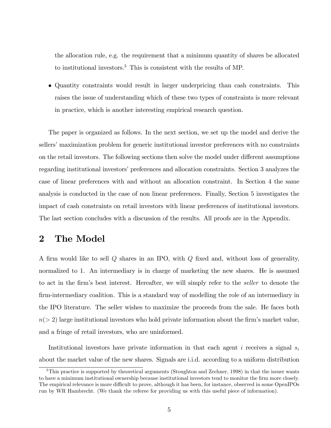the allocation rule, e.g. the requirement that a minimum quantity of shares be allocated to institutional investors.<sup>3</sup> This is consistent with the results of MP.

 Quantity constraints would result in larger underpricing than cash constraints. This raises the issue of understanding which of these two types of constraints is more relevant in practice, which is another interesting empirical research question.

The paper is organized as follows. In the next section, we set up the model and derive the sellers' maximization problem for generic institutional investor preferences with no constraints on the retail investors. The following sections then solve the model under different assumptions regarding institutional investors' preferences and allocation constraints. Section 3 analyzes the case of linear preferences with and without an allocation constraint. In Section 4 the same analysis is conducted in the case of non linear preferences. Finally, Section 5 investigates the impact of cash constraints on retail investors with linear preferences of institutional investors. The last section concludes with a discussion of the results. All proofs are in the Appendix.

### 2 The Model

A firm would like to sell  $Q$  shares in an IPO, with  $Q$  fixed and, without loss of generality, normalized to 1. An intermediary is in charge of marketing the new shares. He is assumed to act in the firm's best interest. Hereafter, we will simply refer to the *seller* to denote the firm-intermediary coalition. This is a standard way of modelling the role of an intermediary in the IPO literature. The seller wishes to maximize the proceeds from the sale. He faces both  $n(> 2)$  large institutional investors who hold private information about the firm's market value, and a fringe of retail investors, who are uninformed.

Institutional investors have private information in that each agent i receives a signal  $s_i$ about the market value of the new shares. Signals are i.i.d. according to a uniform distribution

<sup>&</sup>lt;sup>3</sup>This practice is supported by theoretical arguments (Stoughton and Zechner, 1998) in that the issuer wants to have a minimum institutional ownership because institutional investors tend to monitor the Örm more closely. The empirical relevance is more difficult to prove, although it has been, for instance, observed in some OpenIPOs run by WR Hambrecht. (We thank the referee for providing us with this useful piece of information).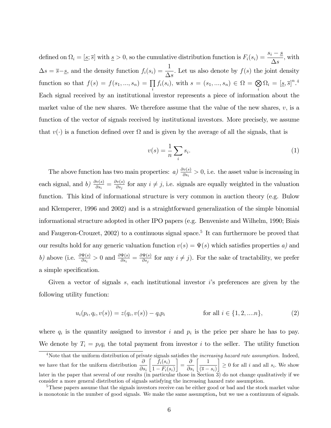defined on  $\Omega_i = [\underline{s}; \overline{s}]$  with  $\underline{s} > 0$ , so the cumulative distribution function is  $F_i(s_i) = \frac{s_i - \underline{s}}{\Delta s}$ ; with  $\Delta s = \bar{s} - \underline{s}$ , and the density function  $f_i(s_i) = \frac{1}{\Delta s}$ . Let us also denote by  $f(s)$  the joint density function so that  $f(s) = f(s_1, ..., s_n) = \prod$  $\prod_i f_i(s_i)$ , with  $s = (s_1, ..., s_n) \in \Omega = \bigotimes_i$ i  $\Omega_i = [\underline{s}, \overline{s}]^{n}$ .<sup>4</sup> Each signal received by an institutional investor represents a piece of information about the market value of the new shares. We therefore assume that the value of the new shares,  $v$ , is a function of the vector of signals received by institutional investors. More precisely, we assume that  $v(\cdot)$  is a function defined over  $\Omega$  and is given by the average of all the signals, that is

$$
v(s) = \frac{1}{n} \sum_{i} s_i.
$$
 (1)

The above function has two main properties:  $a) \frac{\partial v(s)}{\partial s_i} > 0$ , i.e. the asset value is increasing in each signal, and b)  $\frac{\partial v(s)}{\partial s_i} = \frac{\partial v(s)}{\partial s_j}$  $\frac{\partial v(s)}{\partial s_j}$  for any  $i \neq j$ , i.e. signals are equally weighted in the valuation function. This kind of informational structure is very common in auction theory (e.g. Bulow and Klemperer, 1996 and 2002) and is a straightforward generalization of the simple binomial informational structure adopted in other IPO papers (e.g. Benveniste and Wilhelm, 1990; Biais and Faugeron-Crouzet, 2002) to a continuous signal space.<sup>5</sup> It can furthermore be proved that our results hold for any generic valuation function  $v(s) = \Psi(s)$  which satisfies properties a) and b) above (i.e.  $\frac{\partial \Psi(s)}{\partial s_i} > 0$  and  $\frac{\partial \Psi(s)}{\partial s_i} = \frac{\partial \Psi(s)}{\partial s_j}$  $\frac{\Psi(s)}{\partial s_j}$  for any  $i \neq j$ ). For the sake of tractability, we prefer a simple specification.

Given a vector of signals  $s$ , each institutional investor  $i$ 's preferences are given by the following utility function:

$$
u_i(p_i, q_i, v(s)) = z(q_i, v(s)) - q_i p_i \qquad \text{for all } i \in \{1, 2, ..., n\},
$$
 (2)

where  $q_i$  is the quantity assigned to investor i and  $p_i$  is the price per share he has to pay. We denote by  $T_i = p_i q_i$  the total payment from investor i to the seller. The utility function

<sup>&</sup>lt;sup>4</sup>Note that the uniform distribution of private signals satisfies the *increasing hazard rate assumption*. Indeed, we have that for the uniform distribution  $\frac{\partial}{\partial s_i}$  $\overline{f}_i(s_i)$  $1 - F_i(s_i)$ l.  $=\frac{\partial}{\partial}$  $\partial s_i$  $\lceil$  1  $(\overline{s} - s_i)$ T  $\geq 0$  for all *i* and all *s<sub>i</sub>*. We show later in the paper that several of our results (in particular those in Section 3) do not change qualitatively if we consider a more general distribution of signals satisfying the increasing hazard rate assumption.

<sup>&</sup>lt;sup>5</sup>These papers assume that the signals investors receive can be either good or bad and the stock market value is monotonic in the number of good signals. We make the same assumption, but we use a continuum of signals.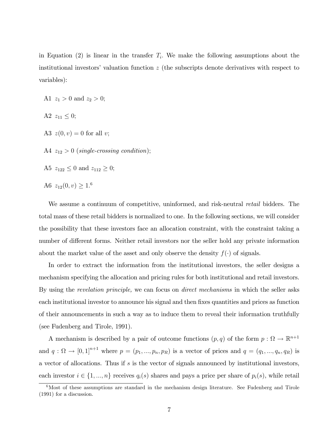in Equation (2) is linear in the transfer  $T_i$ . We make the following assumptions about the institutional investors' valuation function  $z$  (the subscripts denote derivatives with respect to variables):

- A1  $z_1 > 0$  and  $z_2 > 0$ ;
- A2  $z_{11} \leq 0$ ;
- A3  $z(0, v) = 0$  for all v;
- A4  $z_{12} > 0$  (single-crossing condition);
- A5  $z_{122} \leq 0$  and  $z_{112} \geq 0$ ;
- A6  $z_{12}(0, v) \geq 1.6$

We assume a continuum of competitive, uninformed, and risk-neutral *retail* bidders. The total mass of these retail bidders is normalized to one. In the following sections, we will consider the possibility that these investors face an allocation constraint, with the constraint taking a number of different forms. Neither retail investors nor the seller hold any private information about the market value of the asset and only observe the density  $f(\cdot)$  of signals.

In order to extract the information from the institutional investors, the seller designs a mechanism specifying the allocation and pricing rules for both institutional and retail investors. By using the *revelation principle*, we can focus on *direct mechanisms* in which the seller asks each institutional investor to announce his signal and then fixes quantities and prices as function of their announcements in such a way as to induce them to reveal their information truthfully (see Fudenberg and Tirole, 1991).

A mechanism is described by a pair of outcome functions  $(p, q)$  of the form  $p : \Omega \to \mathbb{R}^{n+1}$ and  $q: \Omega \to [0,1]^{n+1}$  where  $p = (p_1, ..., p_n, p_R)$  is a vector of prices and  $q = (q_1, ..., q_n, q_R)$  is a vector of allocations. Thus if  $s$  is the vector of signals announced by institutional investors, each investor  $i \in \{1, ..., n\}$  receives  $q_i(s)$  shares and pays a price per share of  $p_i(s)$ , while retail

 $6M$ ost of these assumptions are standard in the mechanism design literature. See Fudenberg and Tirole (1991) for a discussion.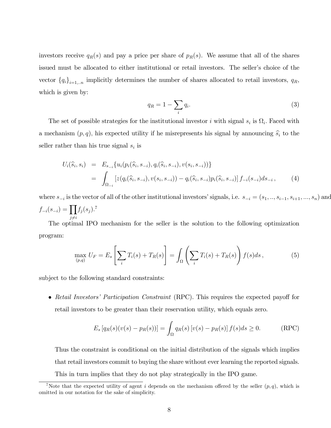investors receive  $q_R(s)$  and pay a price per share of  $p_R(s)$ . We assume that all of the shares issued must be allocated to either institutional or retail investors. The seller's choice of the vector  ${q_i}_{i=1...n}$  implicitly determines the number of shares allocated to retail investors,  $q_R$ , which is given by:

$$
q_R = 1 - \sum_i q_i. \tag{3}
$$

The set of possible strategies for the institutional investor i with signal  $s_i$  is  $\Omega_i$ . Faced with a mechanism  $(p, q)$ , his expected utility if he misrepresents his signal by announcing  $\hat{s}_i$  to the seller rather than his true signal  $s_i$  is

$$
U_i(\widehat{s}_i, s_i) = E_{s_{-i}}\{u_i(p_i(\widehat{s}_i, s_{-i}), q_i(\widehat{s}_i, s_{-i}), v(s_i, s_{-i}))\}
$$
  
= 
$$
\int_{\Omega_{-i}} [z(q_i(\widehat{s}_i, s_{-i}), v(s_i, s_{-i})) - q_i(\widehat{s}_i, s_{-i})p_i(\widehat{s}_i, s_{-i})] f_{-i}(s_{-i}) ds_{-i},
$$
 (4)

where  $s_{-i}$  is the vector of all of the other institutional investors' signals, i.e.  $s_{-i} = (s_1, ..., s_{i-1}, s_{i+1}, ..., s_n)$  and  $f_{-i}(s_{-i}) = \prod f_j(s_j)$ .<sup>7</sup>  $\scriptstyle j\neq i$ 

The optimal IPO mechanism for the seller is the solution to the following optimization program:

$$
\max_{(p,q)} U_F = E_s \left[ \sum_i T_i(s) + T_R(s) \right] = \int_{\Omega} \left( \sum_i T_i(s) + T_R(s) \right) f(s) ds, \tag{5}
$$

subject to the following standard constraints:

• Retail Investors' Participation Constraint (RPC). This requires the expected payoff for retail investors to be greater than their reservation utility, which equals zero.

$$
E_s [q_R(s)(v(s) - p_R(s))] = \int_{\Omega} q_R(s) [v(s) - p_R(s)] f(s) ds \ge 0.
$$
 (RPC)

Thus the constraint is conditional on the initial distribution of the signals which implies that retail investors commit to buying the share without ever learning the reported signals. This in turn implies that they do not play strategically in the IPO game.

<sup>&</sup>lt;sup>7</sup>Note that the expected utility of agent i depends on the mechanism offered by the seller  $(p, q)$ , which is omitted in our notation for the sake of simplicity.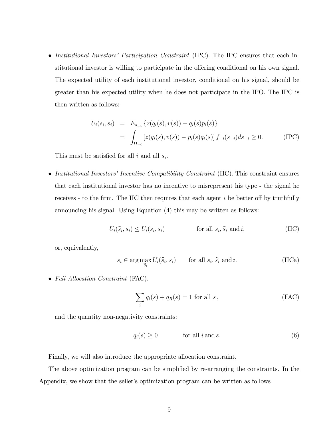• Institutional Investors' Participation Constraint (IPC). The IPC ensures that each institutional investor is willing to participate in the offering conditional on his own signal. The expected utility of each institutional investor, conditional on his signal, should be greater than his expected utility when he does not participate in the IPO. The IPC is then written as follows:

$$
U_i(s_i, s_i) = E_{s_{-i}} \{ z(q_i(s), v(s)) - q_i(s)p_i(s) \}
$$
  
= 
$$
\int_{\Omega_{-i}} [z(q_i(s), v(s)) - p_i(s)q_i(s)] f_{-i}(s_{-i}) ds_{-i} \ge 0.
$$
 (IPC)

This must be satisfied for all  $i$  and all  $s_i$ .

• Institutional Investors' Incentive Compatibility Constraint (IIC). This constraint ensures that each institutional investor has no incentive to misrepresent his type - the signal he receives - to the firm. The IIC then requires that each agent  $i$  be better off by truthfully announcing his signal. Using Equation (4) this may be written as follows:

$$
U_i(\widehat{s}_i, s_i) \le U_i(s_i, s_i) \qquad \text{for all } s_i, \widehat{s}_i \text{ and } i,
$$
 (IIC)

or, equivalently,

$$
s_i \in \arg\max_{\widehat{s}_i} U_i(\widehat{s}_i, s_i) \qquad \text{for all } s_i, \widehat{s}_i \text{ and } i. \tag{IICa}
$$

• Full Allocation Constraint (FAC).

$$
\sum_{i} q_i(s) + q_R(s) = 1 \text{ for all } s,
$$
 (FAC)

and the quantity non-negativity constraints:

$$
q_i(s) \ge 0 \qquad \text{for all } i \text{ and } s. \tag{6}
$$

Finally, we will also introduce the appropriate allocation constraint.

The above optimization program can be simplified by re-arranging the constraints. In the Appendix, we show that the seller's optimization program can be written as follows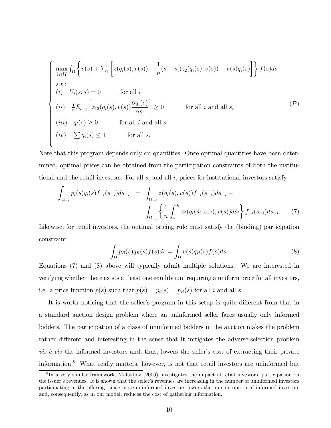$$
\begin{cases}\n\max_{\{q_i\}_{1}^{n}} \int_{\Omega} \left\{ v(s) + \sum_{i} \left[ z(q_i(s), v(s)) - \frac{1}{n} (\overline{s} - s_i) z_2(q_i(s), v(s)) - v(s) q_i(s) \right] \right\} f(s) ds \\
s.t: \\
(i) \quad U_i(\underline{s}, \underline{s}) = 0 \qquad \text{for all } i \\
(ii) \quad \frac{1}{n} E_{s_{-i}} \left[ z_{12}(q_i(s), v(s)) \frac{\partial q_i(s)}{\partial s_i} \right] \ge 0 \qquad \text{for all } i \text{ and all } s_i \\
(iii) \quad q_i(s) \ge 0 \qquad \text{for all } i \text{ and all } s \\
(iv) \quad \sum_{i} q_i(s) \le 1 \qquad \text{for all } s.\n\end{cases} (7)
$$

Note that this program depends only on quantities. Once optimal quantities have been determined, optimal prices can be obtained from the participation constraints of both the institutional and the retail investors. For all  $s_i$  and all i, prices for institutional investors satisfy

$$
\int_{\Omega_{-i}} p_i(s) q_i(s) f_{-i}(s_{-i}) ds_{-i} = \int_{\Omega_{-i}} z(q_i(s), v(s)) f_{-i}(s_{-i}) ds_{-i} - \int_{\Omega_{-i}} \left\{ \frac{1}{n} \int_s^{s_i} z_2(q_i(\tilde{s}_i, s_{-i}), v(s)) d\tilde{s}_i \right\} f_{-i}(s_{-i}) ds_{-i}.
$$
 (7)

Likewise, for retail investors, the optimal pricing rule must satisfy the (binding) participation constraint

$$
\int_{\Omega} p_R(s) q_R(s) f(s) ds = \int_{\Omega} v(s) q_R(s) f(s) ds.
$$
\n(8)

Equations (7) and (8) above will typically admit multiple solutions. We are interested in verifying whether there exists at least one equilibrium requiring a uniform price for all investors, i.e. a price function  $p(s)$  such that  $p(s) = p_i(s) = p_R(s)$  for all i and all s.

It is worth noticing that the seller's program in this setup is quite different from that in a standard auction design problem where an uninformed seller faces usually only informed bidders. The participation of a class of uninformed bidders in the auction makes the problem rather different and interesting in the sense that it mitigates the adverse-selection problem  $vis-\hat{a}-vis$  the informed investors and, thus, lowers the seller's cost of extracting their private information.<sup>8</sup> What really matters, however, is not that retail investors are uninformed but

 ${}^{8}$ In a very similar framework, Malakhov (2006) investigates the impact of retail investors' participation on the issuer's revenues. It is shown that the seller's revenues are increasing in the number of uninformed investors participating in the offering, since more uninformed investors lowers the outside option of informed investors and, consequently, as in our model, reduces the cost of gathering information.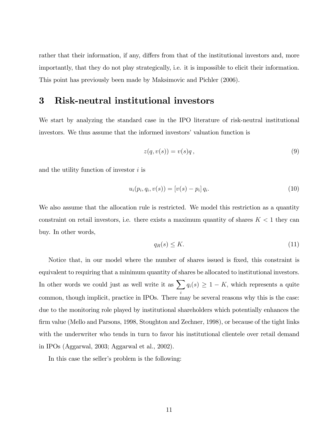rather that their information, if any, differs from that of the institutional investors and, more importantly, that they do not play strategically, i.e. it is impossible to elicit their information. This point has previously been made by Maksimovic and Pichler (2006).

## 3 Risk-neutral institutional investors

We start by analyzing the standard case in the IPO literature of risk-neutral institutional investors. We thus assume that the informed investors' valuation function is

$$
z(q, v(s)) = v(s)q, \qquad (9)
$$

and the utility function of investor  $i$  is

$$
u_i(p_i, q_i, v(s)) = [v(s) - p_i] q_i.
$$
\n(10)

We also assume that the allocation rule is restricted. We model this restriction as a quantity constraint on retail investors, i.e. there exists a maximum quantity of shares  $K < 1$  they can buy. In other words,

$$
q_R(s) \le K. \tag{11}
$$

Notice that, in our model where the number of shares issued is fixed, this constraint is equivalent to requiring that a minimum quantity of shares be allocated to institutional investors. In other words we could just as well write it as  $\sum$ i  $q_i(s) \geq 1 - K$ , which represents a quite common, though implicit, practice in IPOs. There may be several reasons why this is the case: due to the monitoring role played by institutional shareholders which potentially enhances the firm value (Mello and Parsons, 1998, Stoughton and Zechner, 1998), or because of the tight links with the underwriter who tends in turn to favor his institutional clientele over retail demand in IPOs (Aggarwal, 2003; Aggarwal et al., 2002).

In this case the seller's problem is the following: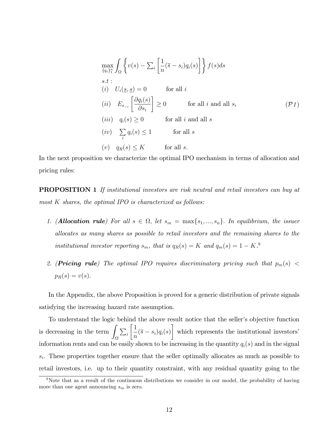$$
\max_{\{q_i\}_1^n} \int_{\Omega} \left\{ v(s) - \sum_{i} \left[ \frac{1}{n} (\overline{s} - s_i) q_i(s) \right] \right\} f(s) ds
$$
\n*s.t* :  
\n(i)  $U_i(\underline{s}, \underline{s}) = 0$  for all *i*  
\n(ii)  $E_{s_{-i}} \left[ \frac{\partial q_i(s)}{\partial s_i} \right] \ge 0$  for all *i* and all  $s_i$   
\n(iii)  $q_i(s) \ge 0$  for all *i* and all *s*  
\n(iv)  $\sum_{i} q_i(s) \le 1$  for all *s*  
\n(v)  $q_R(s) \le K$  for all *s*.

In the next proposition we characterize the optimal IPO mechanism in terms of allocation and pricing rules:

PROPOSITION 1 If institutional investors are risk neutral and retail investors can buy at  $most K shares, the optimal IPO is characterized as follows:$ 

- 1. (**Allocation rule**) For all  $s \in \Omega$ , let  $s_m = \max\{s_1, ..., s_n\}$ . In equilibrium, the issuer allocates as many shares as possible to retail investors and the remaining shares to the institutional investor reporting  $s_m$ , that is  $q_R(s) = K$  and  $q_m(s) = 1 - K$ .<sup>9</sup>
- 2. (**Pricing rule**) The optimal IPO requires discriminatory pricing such that  $p_m(s)$  <  $p_R(s) = v(s).$

In the Appendix, the above Proposition is proved for a generic distribution of private signals satisfying the increasing hazard rate assumption.

To understand the logic behind the above result notice that the seller's objective function is decreasing in the term  $\int$ Ω  $\sum_i$  $\lceil 1 \rceil$  $\frac{1}{n}(\overline{s}-s_i)q_i(s)$ 1 which represents the institutional investors' information rents and can be easily shown to be increasing in the quantity  $q_i(s)$  and in the signal  $s_i$ . These properties together ensure that the seller optimally allocates as much as possible to retail investors, i.e. up to their quantity constraint, with any residual quantity going to the

<sup>&</sup>lt;sup>9</sup>Note that as a result of the continuous distributions we consider in our model, the probability of having more than one agent announcing  $s_m$  is zero.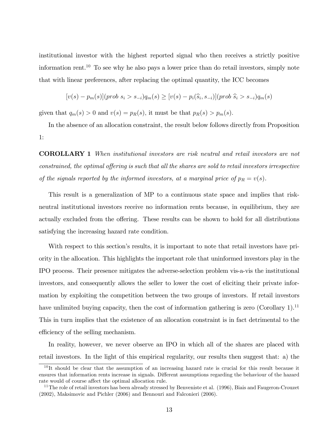institutional investor with the highest reported signal who then receives a strictly positive information rent.<sup>10</sup> To see why he also pays a lower price than do retail investors, simply note that with linear preferences, after replacing the optimal quantity, the ICC becomes

$$
[v(s) - p_m(s)](prob \ s_i > s_{-i})q_m(s) \geq [v(s) - p_i(\widehat{s}_i, s_{-i})](prob \ \widehat{s}_i > s_{-i})q_m(s)
$$

given that  $q_m(s) > 0$  and  $v(s) = p_R(s)$ , it must be that  $p_R(s) > p_m(s)$ .

In the absence of an allocation constraint, the result below follows directly from Proposition 1:

COROLLARY 1 When institutional investors are risk neutral and retail investors are not constrained, the optimal offering is such that all the shares are sold to retail investors irrespective of the signals reported by the informed investors, at a marginal price of  $p_R = v(s)$ .

This result is a generalization of MP to a continuous state space and implies that riskneutral institutional investors receive no information rents because, in equilibrium, they are actually excluded from the offering. These results can be shown to hold for all distributions satisfying the increasing hazard rate condition.

With respect to this section's results, it is important to note that retail investors have priority in the allocation. This highlights the important role that uninformed investors play in the IPO process. Their presence mitigates the adverse-selection problem vis-a-vis the institutional investors, and consequently allows the seller to lower the cost of eliciting their private information by exploiting the competition between the two groups of investors. If retail investors have unlimited buying capacity, then the cost of information gathering is zero (Corollary  $1$ ).<sup>11</sup> This in turn implies that the existence of an allocation constraint is in fact detrimental to the efficiency of the selling mechanism.

In reality, however, we never observe an IPO in which all of the shares are placed with retail investors. In the light of this empirical regularity, our results then suggest that: a) the

 $10$ It should be clear that the assumption of an increasing hazard rate is crucial for this result because it ensures that information rents increase in signals. Different assumptions regarding the behaviour of the hazard rate would of course affect the optimal allocation rule.

 $11$ The role of retail investors has been already stressed by Benveniste et al.  $(1996)$ , Biais and Faugeron-Crouzet (2002), Maksimovic and Pichler (2006) and Bennouri and Falconieri (2006).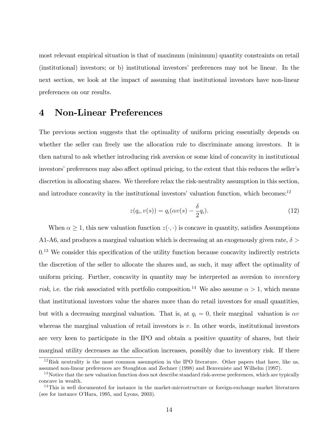most relevant empirical situation is that of maximum (minimum) quantity constraints on retail (institutional) investors; or b) institutional investorsí preferences may not be linear. In the next section, we look at the impact of assuming that institutional investors have non-linear preferences on our results.

### 4 Non-Linear Preferences

The previous section suggests that the optimality of uniform pricing essentially depends on whether the seller can freely use the allocation rule to discriminate among investors. It is then natural to ask whether introducing risk aversion or some kind of concavity in institutional investors' preferences may also affect optimal pricing, to the extent that this reduces the seller's discretion in allocating shares. We therefore relax the risk-neutrality assumption in this section, and introduce concavity in the institutional investors' valuation function, which becomes: $12$ 

$$
z(q_i, v(s)) = q_i(\alpha v(s) - \frac{\delta}{2}q_i). \tag{12}
$$

When  $\alpha \geq 1$ , this new valuation function  $z(\cdot, \cdot)$  is concave in quantity, satisfies Assumptions A1-A6, and produces a marginal valuation which is decreasing at an exogenously given rate,  $\delta$  $0<sup>13</sup>$  We consider this specification of the utility function because concavity indirectly restricts the discretion of the seller to allocate the shares and, as such, it may affect the optimality of uniform pricing. Further, concavity in quantity may be interpreted as aversion to *inventory risk*, i.e. the risk associated with portfolio composition.<sup>14</sup> We also assume  $\alpha > 1$ , which means that institutional investors value the shares more than do retail investors for small quantities, but with a decreasing marginal valuation. That is, at  $q_i = 0$ , their marginal valuation is  $\alpha v$ whereas the marginal valuation of retail investors is  $v$ . In other words, institutional investors are very keen to participate in the IPO and obtain a positive quantity of shares, but their marginal utility decreases as the allocation increases, possibly due to inventory risk. If there

 $12$ Risk neutrality is the most common assumption in the IPO literature. Other papers that have, like us, assumed non-linear preferences are Stoughton and Zechner (1998) and Benveniste and Wilhelm (1997).

 $13$ Notice that the new valuation function does not describe standard risk-averse preferences, which are typically concave in wealth.

<sup>&</sup>lt;sup>14</sup>This is well documented for instance in the market-microstructure or foreign-exchange market literatures (see for instance O'Hara, 1995, and Lyons, 2003).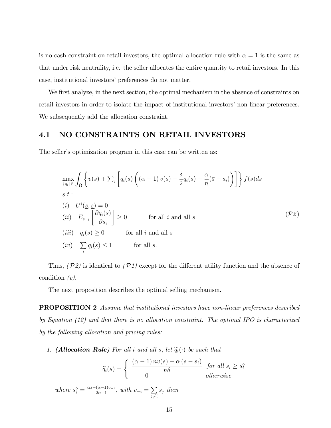is no cash constraint on retail investors, the optimal allocation rule with  $\alpha = 1$  is the same as that under risk neutrality, i.e. the seller allocates the entire quantity to retail investors. In this case, institutional investors' preferences do not matter.

We first analyze, in the next section, the optimal mechanism in the absence of constraints on retail investors in order to isolate the impact of institutional investors' non-linear preferences. We subsequently add the allocation constraint.

#### 4.1 NO CONSTRAINTS ON RETAIL INVESTORS

The seller's optimization program in this case can be written as:

$$
\max_{\{q_i\}_{1}^{n}} \int_{\Omega} \left\{ v(s) + \sum_{i} \left[ q_i(s) \left( (\alpha - 1) v(s) - \frac{\delta}{2} q_i(s) - \frac{\alpha}{n} (\overline{s} - s_i) \right) \right] \right\} f(s) ds
$$
  
s.t :  
(i)  $U^i(\underline{s}, \underline{s}) = 0$   
(ii)  $E_{s_{-i}} \left[ \frac{\partial q_i(s)}{\partial s_i} \right] \ge 0$  for all *i* and all *s*  
(iii)  $q_i(s) \ge 0$  for all *i* and all *s*  
(iv)  $\sum_{i} q_i(s) \le 1$  for all *s*.  
(iv)  $\sum_{i} q_i(s) \le 1$  for all *s*.

Thus,  $(\mathcal{P}2)$  is identical to  $(\mathcal{P}1)$  except for the different utility function and the absence of condition  $(v)$ .

The next proposition describes the optimal selling mechanism.

PROPOSITION 2 Assume that institutional investors have non-linear preferences described by Equation (12) and that there is no allocation constraint. The optimal IPO is characterized by the following allocation and pricing rules:

1. (Allocation Rule) For all i and all s, let  $\widetilde{q}_i(\cdot)$  be such that

$$
\widetilde{q}_i(s) = \begin{cases}\n\frac{(\alpha - 1) n v(s) - \alpha (\overline{s} - s_i)}{n \delta} & \text{for all } s_i \ge s_i^{\circ} \\
0 & \text{otherwise}\n\end{cases}
$$

where  $s_i^{\circ} = \frac{\alpha \overline{s} - (\alpha - 1)v_{-i}}{2\alpha - 1}$  $\frac{(\alpha-1)v_{-i}}{2\alpha-1}$ , with  $v_{-i} = \sum_{i \neq i}$  $j\neq i$  $s_j$  then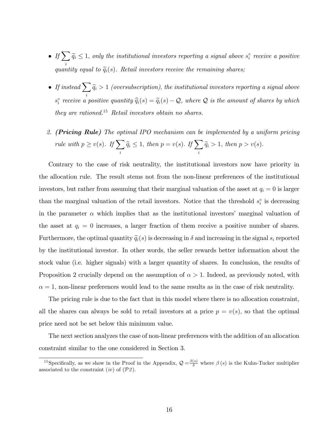- If  $\sum$  $\sum_i \widetilde{q}_i \leq 1$ , only the institutional investors reporting a signal above  $s_i^{\circ}$  receive a positive quantity equal to  $\tilde{q}_i(s)$ . Retail investors receive the remaining shares;
- If instead  $\sum$  $\sum_{i} \widetilde{q}_i > 1$  (oversubscription), the institutional investors reporting a signal above  $s_i^{\circ}$  receive a positive quantity  $\widehat{q}_i(s) = \widetilde{q}_i(s) - \mathcal{Q}$ , where  $\mathcal Q$  is the amount of shares by which they are rationed.<sup>15</sup> Retail investors obtain no shares.
- 2. (Pricing Rule) The optimal IPO mechanism can be implemented by a uniform pricing rule with  $p \ge v(s)$ . If  $\sum$  $\sum_i \widetilde{q}_i \leq 1$ , then  $p = v(s)$ . If  $\sum_i \widetilde{q}_i > 1$ , then  $p > v(s)$ .

Contrary to the case of risk neutrality, the institutional investors now have priority in the allocation rule. The result stems not from the non-linear preferences of the institutional investors, but rather from assuming that their marginal valuation of the asset at  $q_i = 0$  is larger than the marginal valuation of the retail investors. Notice that the threshold  $s_i^{\circ}$  is decreasing in the parameter  $\alpha$  which implies that as the institutional investors' marginal valuation of the asset at  $q_i = 0$  increases, a larger fraction of them receive a positive number of shares. Furthermore, the optimal quantity  $\tilde{q}_i(s)$  is decreasing in  $\delta$  and increasing in the signal  $s_i$  reported by the institutional investor. In other words, the seller rewards better information about the stock value (i.e. higher signals) with a larger quantity of shares. In conclusion, the results of Proposition 2 crucially depend on the assumption of  $\alpha > 1$ . Indeed, as previously noted, with  $\alpha = 1$ , non-linear preferences would lead to the same results as in the case of risk neutrality.

The pricing rule is due to the fact that in this model where there is no allocation constraint, all the shares can always be sold to retail investors at a price  $p = v(s)$ , so that the optimal price need not be set below this minimum value.

The next section analyzes the case of non-linear preferences with the addition of an allocation constraint similar to the one considered in Section 3.

<sup>&</sup>lt;sup>15</sup>Specifically, as we show in the Proof in the Appendix,  $\mathcal{Q} = \frac{\beta(s)}{\delta}$  where  $\beta(s)$  is the Kuhn-Tucker multiplier associated to the constraint *(iv)* of  $(\mathcal{P}2)$ .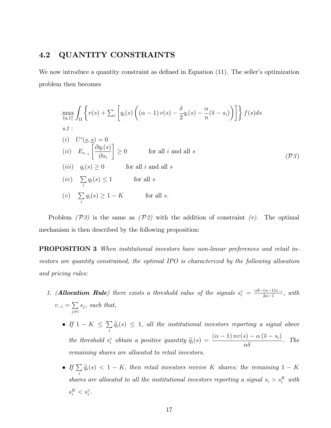#### 4.2 QUANTITY CONSTRAINTS

We now introduce a quantity constraint as defined in Equation  $(11)$ . The seller's optimization problem then becomes

$$
\max_{\{q_i\}_{1}^{n}} \int_{\Omega} \left\{ v(s) + \sum_{i} \left[ q_i(s) \left( (\alpha - 1) v(s) - \frac{\delta}{2} q_i(s) - \frac{\alpha}{n} (\overline{s} - s_i) \right) \right] \right\} f(s) ds
$$
  
s.t :  
(i)  $U^i(\underline{s}, \underline{s}) = 0$   
(ii)  $E_{s_{-i}} \left[ \frac{\partial q_i(s)}{\partial s_i} \right] \ge 0$  for all *i* and all *s*  
(iii)  $q_i(s) \ge 0$  for all *i* and all *s*  
(iv)  $\sum_{i} q_i(s) \le 1$  for all *s*  
(v)  $\sum_{i} q_i(s) \ge 1 - K$  for all *s*.

Problem  $(\mathcal{P}3)$  is the same as  $(\mathcal{P}2)$  with the addition of constraint  $(v)$ . The optimal mechanism is then described by the following proposition:

PROPOSITION 3 When institutional investors have non-linear preferences and retail investors are quantity constrained, the optimal IPO is characterized by the following allocation and pricing rules:

- 1. (**Allocation Rule**) there exists a threshold value of the signals  $s_i^{\circ} = \frac{\alpha \bar{s} (\alpha 1)v_{-i}}{2\alpha 1}$  $\frac{(\alpha-1)v_{-i}}{2\alpha-1}, \text{ with}$  $v_{-i} = \sum_i$  $j\neq i$  $s_j$ , such that,
	- If  $1 K \leq \sum_{i} \widetilde{q}_i(s) \leq 1$ , all the institutional investors reporting a signal above i the threshold  $s_i^{\circ}$  $\tilde{q}_i$  obtain a positive quantity  $\tilde{q}_i(s) = \frac{(\alpha - 1) n v(s) - \alpha (\bar{s} - s_i)}{n \delta}$ . The remaining shares are allocated to retail investors.
	- If  $\sum_i \widetilde{q}_i(s) < 1 K$ , then retail investors receive K shares; the remaining  $1 K$ shares are allocated to all the institutional investors reporting a signal  $s_i > s_i^K$  with  $s_i^K < s_i^{\circ}$ .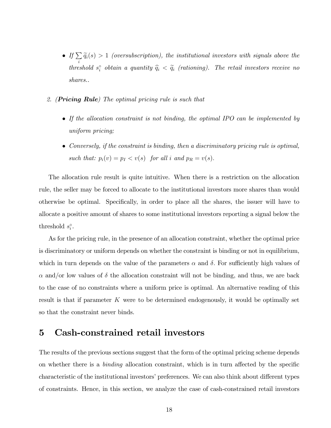- If  $\sum_i \widetilde{q}_i(s) > 1$  (oversubscription), the institutional investors with signals above the threshold  $s_i^{\circ}$  obtain a quantity  $\widehat{q}_i < \widetilde{q}_i$  (rationing). The retail investors receive no shares..
- 2. (Pricing Rule) The optimal pricing rule is such that
	- If the allocation constraint is not binding, the optimal IPO can be implemented by uniform pricing;
	- Conversely, if the constraint is binding, then a discriminatory pricing rule is optimal, such that:  $p_i(v) = p_I < v(s)$  for all i and  $p_R = v(s)$ .

The allocation rule result is quite intuitive. When there is a restriction on the allocation rule, the seller may be forced to allocate to the institutional investors more shares than would otherwise be optimal. SpeciÖcally, in order to place all the shares, the issuer will have to allocate a positive amount of shares to some institutional investors reporting a signal below the threshold  $s_i^{\circ}$ .

As for the pricing rule, in the presence of an allocation constraint, whether the optimal price is discriminatory or uniform depends on whether the constraint is binding or not in equilibrium, which in turn depends on the value of the parameters  $\alpha$  and  $\delta$ . For sufficiently high values of  $\alpha$  and/or low values of  $\delta$  the allocation constraint will not be binding, and thus, we are back to the case of no constraints where a uniform price is optimal. An alternative reading of this result is that if parameter  $K$  were to be determined endogenously, it would be optimally set so that the constraint never binds.

## 5 Cash-constrained retail investors

The results of the previous sections suggest that the form of the optimal pricing scheme depends on whether there is a *binding* allocation constraint, which is in turn affected by the specific characteristic of the institutional investors' preferences. We can also think about different types of constraints. Hence, in this section, we analyze the case of cash-constrained retail investors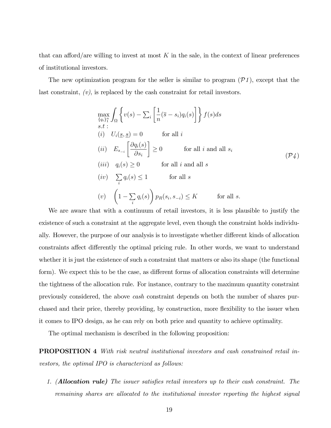that can afford/are willing to invest at most K in the sale, in the context of linear preferences of institutional investors.

The new optimization program for the seller is similar to program  $(\mathcal{P}1)$ , except that the last constraint,  $(v)$ , is replaced by the cash constraint for retail investors.

$$
\max_{\{a_i\}_{1}^{n}} \int_{\Omega} \left\{ v(s) - \sum_{i} \left[ \frac{1}{n} (\overline{s} - s_i) q_i(s) \right] \right\} f(s) ds
$$
\n*s.t* :  
\n(i)  $U_i(\underline{s}, \underline{s}) = 0$  for all *i*  
\n(ii)  $E_{s_{-i}} \left[ \frac{\partial q_i(s)}{\partial s_i} \right] \ge 0$  for all *i* and all  $s_i$   
\n(iii)  $q_i(s) \ge 0$  for all *i* and all *s*  
\n(iv)  $\sum_{i} q_i(s) \le 1$  for all *s*  
\n(v)  $\left( 1 - \sum_{i} q_i(s) \right) p_R(s_i, s_{-i}) \le K$  for all *s*.

We are aware that with a continuum of retail investors, it is less plausible to justify the existence of such a constraint at the aggregate level, even though the constraint holds individually. However, the purpose of our analysis is to investigate whether different kinds of allocation constraints affect differently the optimal pricing rule. In other words, we want to understand whether it is just the existence of such a constraint that matters or also its shape (the functional form). We expect this to be the case, as different forms of allocation constraints will determine the tightness of the allocation rule. For instance, contrary to the maximum quantity constraint previously considered, the above cash constraint depends on both the number of shares purchased and their price, thereby providing, by construction, more áexibility to the issuer when it comes to IPO design, as he can rely on both price and quantity to achieve optimality.

The optimal mechanism is described in the following proposition:

PROPOSITION 4 With risk neutral institutional investors and cash constrained retail investors, the optimal IPO is characterized as follows:

1. (**Allocation rule**) The issuer satisfies retail investors up to their cash constraint. The remaining shares are allocated to the institutional investor reporting the highest signal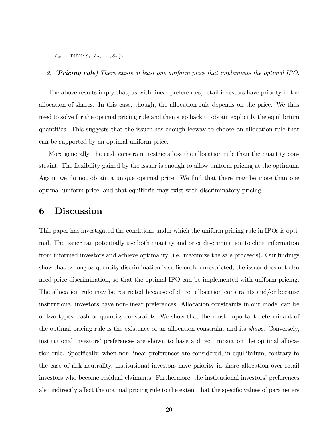$s_m = \max\{s_1, s_2, ..., s_n\}.$ 

#### 2. (Pricing rule) There exists at least one uniform price that implements the optimal IPO.

The above results imply that, as with linear preferences, retail investors have priority in the allocation of shares. In this case, though, the allocation rule depends on the price. We thus need to solve for the optimal pricing rule and then step back to obtain explicitly the equilibrium quantities. This suggests that the issuer has enough leeway to choose an allocation rule that can be supported by an optimal uniform price.

More generally, the cash constraint restricts less the allocation rule than the quantity constraint. The flexibility gained by the issuer is enough to allow uniform pricing at the optimum. Again, we do not obtain a unique optimal price. We find that there may be more than one optimal uniform price, and that equilibria may exist with discriminatory pricing.

## 6 Discussion

This paper has investigated the conditions under which the uniform pricing rule in IPOs is optimal. The issuer can potentially use both quantity and price discrimination to elicit information from informed investors and achieve optimality (i.e. maximize the sale proceeds). Our findings show that as long as quantity discrimination is sufficiently unrestricted, the issuer does not also need price discrimination, so that the optimal IPO can be implemented with uniform pricing. The allocation rule may be restricted because of direct allocation constraints and/or because institutional investors have non-linear preferences. Allocation constraints in our model can be of two types, cash or quantity constraints. We show that the most important determinant of the optimal pricing rule is the existence of an allocation constraint and its shape. Conversely, institutional investors' preferences are shown to have a direct impact on the optimal allocation rule. Specifically, when non-linear preferences are considered, in equilibrium, contrary to the case of risk neutrality, institutional investors have priority in share allocation over retail investors who become residual claimants. Furthermore, the institutional investors' preferences also indirectly affect the optimal pricing rule to the extent that the specific values of parameters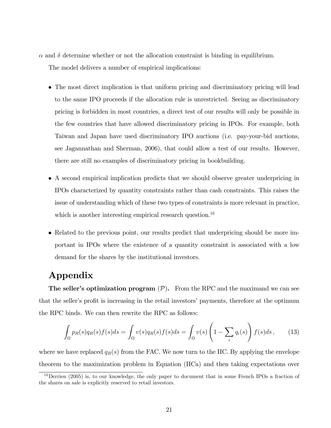$\alpha$  and  $\delta$  determine whether or not the allocation constraint is binding in equilibrium.

The model delivers a number of empirical implications:

- The most direct implication is that uniform pricing and discriminatory pricing will lead to the same IPO proceeds if the allocation rule is unrestricted. Seeing as discriminatory pricing is forbidden in most countries, a direct test of our results will only be possible in the few countries that have allowed discriminatory pricing in IPOs. For example, both Taiwan and Japan have used discriminatory IPO auctions (i.e. pay-your-bid auctions, see Jagannathan and Sherman, 2006), that could allow a test of our results. However, there are still no examples of discriminatory pricing in bookbuilding.
- A second empirical implication predicts that we should observe greater underpricing in IPOs characterized by quantity constraints rather than cash constraints. This raises the issue of understanding which of these two types of constraints is more relevant in practice, which is another interesting empirical research question.<sup>16</sup>
- Related to the previous point, our results predict that underpricing should be more important in IPOs where the existence of a quantity constraint is associated with a low demand for the shares by the institutional investors.

## Appendix

The seller's optimization program  $(\mathcal{P})$ . From the RPC and the maximand we can see that the seller's profit is increasing in the retail investors' payments, therefore at the optimum the RPC binds. We can then rewrite the RPC as follows:

$$
\int_{\Omega} p_R(s) q_R(s) f(s) ds = \int_{\Omega} v(s) q_R(s) f(s) ds = \int_{\Omega} v(s) \left( 1 - \sum_i q_i(s) \right) f(s) ds, \tag{13}
$$

where we have replaced  $q_R(s)$  from the FAC. We now turn to the IIC. By applying the envelope theorem to the maximization problem in Equation (IICa) and then taking expectations over

<sup>16</sup>Derrien (2005) is, to our knowledge, the only paper to document that in some French IPOs a fraction of the shares on sale is explicitly reserved to retail investors.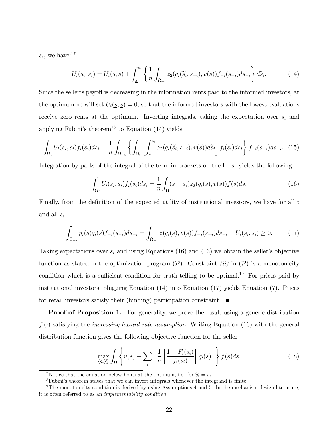$s_i$ , we have:<sup>17</sup>

$$
U_i(s_i, s_i) = U_i(\underline{s}, \underline{s}) + \int_{\underline{s}}^{s_i} \left\{ \frac{1}{n} \int_{\Omega_{-i}} z_2(q_i(\widetilde{s}_i, s_{-i}), v(s)) f_{-i}(s_{-i}) ds_{-i} \right\} d\widetilde{s}_i.
$$
 (14)

Since the seller's payoff is decreasing in the information rents paid to the informed investors, at the optimum he will set  $U_i(\underline{s}, \underline{s}) = 0$ , so that the informed investors with the lowest evaluations receive zero rents at the optimum. Inverting integrals, taking the expectation over  $s_i$  and applying Fubini's theorem<sup>18</sup> to Equation  $(14)$  yields

$$
\int_{\Omega_i} U_i(s_i, s_i) f_i(s_i) ds_i = \frac{1}{n} \int_{\Omega_{-i}} \left\{ \int_{\Omega_i} \left[ \int_s^{s_i} z_2(q_i(\widetilde{s}_i, s_{-i}), v(s)) d\widetilde{s}_i \right] f_i(s_i) ds_i \right\} f_{-i}(s_{-i}) ds_{-i}.
$$
 (15)

Integration by parts of the integral of the term in brackets on the l.h.s. yields the following

$$
\int_{\Omega_i} U_i(s_i, s_i) f_i(s_i) ds_i = \frac{1}{n} \int_{\Omega} (\overline{s} - s_i) z_2(q_i(s), v(s)) f(s) ds.
$$
\n(16)

Finally, from the definition of the expected utility of institutional investors, we have for all  $i$ and all  $s_i$ 

$$
\int_{\Omega_{-i}} p_i(s) q_i(s) f_{-i}(s_{-i}) ds_{-i} = \int_{\Omega_{-i}} z(q_i(s), v(s)) f_{-i}(s_{-i}) ds_{-i} - U_i(s_i, s_i) \ge 0.
$$
 (17)

Taking expectations over  $s_i$  and using Equations (16) and (13) we obtain the seller's objective function as stated in the optimization program  $(\mathcal{P})$ . Constraint *(ii)* in  $(\mathcal{P})$  is a monotonicity condition which is a sufficient condition for truth-telling to be optimal.<sup>19</sup> For prices paid by institutional investors, plugging Equation (14) into Equation (17) yields Equation (7). Prices for retail investors satisfy their (binding) participation constraint.  $\blacksquare$ 

**Proof of Proposition 1.** For generality, we prove the result using a generic distribution  $f(\cdot)$  satisfying the *increasing hazard rate assumption*. Writing Equation (16) with the general distribution function gives the following objective function for the seller

$$
\max_{\{q_i\}_{1}^{n}} \int_{\Omega} \left\{ v(s) - \sum_{i} \left[ \frac{1}{n} \left[ \frac{1 - F_i(s_i)}{f_i(s_i)} \right] q_i(s) \right] \right\} f(s) ds.
$$
 (18)

<sup>&</sup>lt;sup>17</sup>Notice that the equation below holds at the optimum, i.e. for  $\hat{s}_i = s_i$ .

 $18$ Fubini's theorem states that we can invert integrals whenever the integrand is finite.

<sup>&</sup>lt;sup>19</sup>The monotonicity condition is derived by using Assumptions 4 and 5. In the mechanism design literature, it is often referred to as an implementability condition.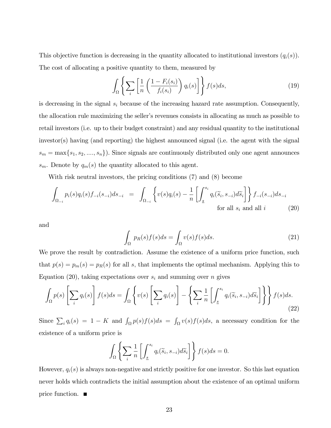This objective function is decreasing in the quantity allocated to institutional investors  $(q_i(s))$ . The cost of allocating a positive quantity to them, measured by

$$
\int_{\Omega} \left\{ \sum_{i} \left[ \frac{1}{n} \left( \frac{1 - F_i(s_i)}{f_i(s_i)} \right) q_i(s) \right] \right\} f(s) ds,
$$
\n(19)

is decreasing in the signal  $s_i$  because of the increasing hazard rate assumption. Consequently, the allocation rule maximizing the seller's revenues consists in allocating as much as possible to retail investors (i.e. up to their budget constraint) and any residual quantity to the institutional investor(s) having (and reporting) the highest announced signal (i.e. the agent with the signal  $s_m = \max\{s_1, s_2, \ldots, s_n\}$ . Since signals are continuously distributed only one agent announces  $s_m$ . Denote by  $q_m(s)$  the quantity allocated to this agent.

With risk neutral investors, the pricing conditions (7) and (8) become

$$
\int_{\Omega_{-i}} p_i(s) q_i(s) f_{-i}(s_{-i}) ds_{-i} = \int_{\Omega_{-i}} \left\{ v(s) q_i(s) - \frac{1}{n} \left[ \int_{\underline{s}}^{s_i} q_i(\widetilde{s}_i, s_{-i}) d\widetilde{s}_i \right] \right\} f_{-i}(s_{-i}) ds_{-i}
$$
\nfor all  $s_i$  and all  $i$ 

\n(20)

and

$$
\int_{\Omega} p_R(s)f(s)ds = \int_{\Omega} v(s)f(s)ds.
$$
\n(21)

We prove the result by contradiction. Assume the existence of a uniform price function, such that  $p(s) = p_m(s) = p_R(s)$  for all s, that implements the optimal mechanism. Applying this to Equation (20), taking expectations over  $s_i$  and summing over n gives

$$
\int_{\Omega} p(s) \left[ \sum_{i} q_i(s) \right] f(s) ds = \int_{\Omega} \left\{ v(s) \left[ \sum_{i} q_i(s) \right] - \left\{ \sum_{i} \frac{1}{n} \left[ \int_{\underline{s}}^{s_i} q_i(\widetilde{s}_i, s_{-i}) d\widetilde{s}_i \right] \right\} \right\} f(s) ds. \tag{22}
$$

Since  $\sum_i q_i(s) = 1 - K$  and  $\int_{\Omega} p(s)f(s)ds = \int_{\Omega} v(s)f(s)ds$ , a necessary condition for the existence of a uniform price is

$$
\int_{\Omega} \left\{ \sum_{i} \frac{1}{n} \left[ \int_{\underline{s}}^{s_i} q_i(\widetilde{s}_i, s_{-i}) d\widetilde{s}_i \right] \right\} f(s) ds = 0.
$$

However,  $q_i(s)$  is always non-negative and strictly positive for one investor. So this last equation never holds which contradicts the initial assumption about the existence of an optimal uniform price function.  $\blacksquare$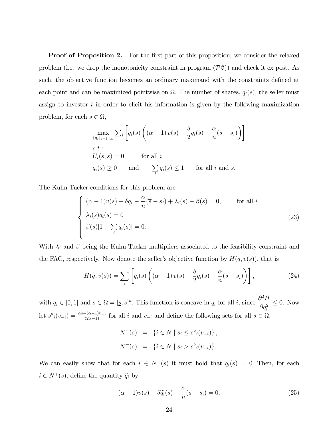**Proof of Proposition 2.** For the first part of this proposition, we consider the relaxed problem (i.e. we drop the monotonicity constraint in program  $(\mathcal{P}2)$ ) and check it ex post. As such, the objective function becomes an ordinary maximand with the constraints defined at each point and can be maximized pointwise on  $\Omega$ . The number of shares,  $q_i(s)$ , the seller must assign to investor  $i$  in order to elicit his information is given by the following maximization problem, for each  $s \in \Omega$ ,

$$
\max_{\{q_i\}_{i=1...n}} \sum_{i} \left[ q_i(s) \left( (\alpha - 1) v(s) - \frac{\delta}{2} q_i(s) - \frac{\alpha}{n} (\overline{s} - s_i) \right) \right]
$$
  
s.t :  
 $U_i(\underline{s}, \underline{s}) = 0$  for all  $i$   
 $q_i(s) \ge 0$  and  $\sum_{i} q_i(s) \le 1$  for all  $i$  and  $s$ .

The Kuhn-Tucker conditions for this problem are

$$
\begin{cases}\n(\alpha - 1)v(s) - \delta q_i - \frac{\alpha}{n}(\overline{s} - s_i) + \lambda_i(s) - \beta(s) = 0, & \text{for all } i \\
\lambda_i(s)q_i(s) = 0 & (\text{23})\n\end{cases}
$$
\n
$$
\beta(s)[1 - \sum_i q_i(s)] = 0.
$$

With  $\lambda_i$  and  $\beta$  being the Kuhn-Tucker multipliers associated to the feasibility constraint and the FAC, respectively. Now denote the seller's objective function by  $H(q, v(s))$ , that is

$$
H(q, v(s)) = \sum_{i} \left[ q_i(s) \left( (\alpha - 1) v(s) - \frac{\delta}{2} q_i(s) - \frac{\alpha}{n} (\overline{s} - s_i) \right) \right],
$$
 (24)

with  $q_i \in [0, 1]$  and  $s \in \Omega = [\underline{s}, \overline{s}]^n$ . This function is concave in  $q_i$  for all i, since  $\partial^2 H$  $\frac{\partial^2 H}{\partial q_i^2} \leq 0$ . Now let  $s^{\circ}_i(v_{-i}) = \frac{\alpha \bar{s} - (\alpha - 1)v_{-i}}{(2\alpha - 1)}$  for all i and  $v_{-i}$  and define the following sets for all  $s \in \Omega$ ,

> $N^-(s) = \{i \in N \mid s_i \leq s^{\circ} \{i(v_{-i})\},\}$  $N^+(s) = \{ i \in N \mid s_i > s^{\circ}_i(v_{-i}) \}.$

We can easily show that for each  $i \in N^-(s)$  it must hold that  $q_i(s) = 0$ . Then, for each  $i \in N^+(s)$ , define the quantity  $\widetilde{q}_i$  by

$$
(\alpha - 1)v(s) - \delta \widetilde{q}_i(s) - \frac{\alpha}{n}(\overline{s} - s_i) = 0.
$$
\n(25)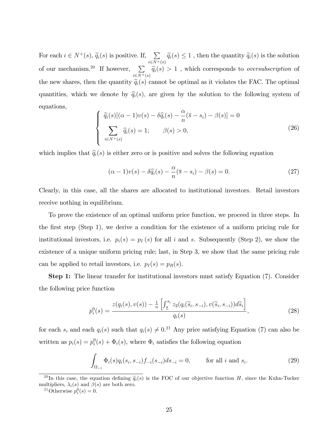For each  $i \in N^+(s)$ ,  $\widetilde{q}_i(s)$  is positive. If,  $\sum_{i \in N^+(s)} \widetilde{q}_i(s) \leq 1$ , then the quantity  $\widetilde{q}_i(s)$  is the solution  $i\in N^+(s)$ of our mechanism.<sup>20</sup> If however,  $\sum$  $\sum_{i\in N^+(s)} \widetilde{q}_i(s) > 1$ , which corresponds to *oversubscription* of the new shares, then the quantity  $\tilde{q}_i(s)$  cannot be optimal as it violates the FAC. The optimal quantities, which we denote by  $\hat{q}_i(s)$ , are given by the solution to the following system of equations,

$$
\begin{cases}\n\widehat{q}_i(s)[(\alpha - 1)v(s) - \delta \widehat{q}_i(s) - \frac{\alpha}{n}(\overline{s} - s_i) - \beta(s)] = 0 \\
\sum_{i \in N^+(s)} \widehat{q}_i(s) = 1; \qquad \beta(s) > 0,\n\end{cases}
$$
\n(26)

which implies that  $\hat{q}_i(s)$  is either zero or is positive and solves the following equation

$$
(\alpha - 1)v(s) - \delta \widehat{q}_i(s) - \frac{\alpha}{n}(\overline{s} - s_i) - \beta(s) = 0.
$$
\n(27)

Clearly, in this case, all the shares are allocated to institutional investors. Retail investors receive nothing in equilibrium.

To prove the existence of an optimal uniform price function, we proceed in three steps. In the first step (Step 1), we derive a condition for the existence of a uniform pricing rule for institutional investors, i.e.  $p_i(s) = p_i(s)$  for all i and s. Subsequently (Step 2), we show the existence of a unique uniform pricing rule; last, in Step 3, we show that the same pricing rule can be applied to retail investors, i.e.  $p_I(s) = p_R(s)$ .

Step 1: The linear transfer for institutional investors must satisfy Equation (7). Consider the following price function

$$
p_i^0(s) = \frac{z(q_i(s), v(s)) - \frac{1}{n} \left[ \int_{\underline{s}}^{s_i} z_2(q_i(\widetilde{s}_i, s_{-i}), v(\widetilde{s}_i, s_{-i})) d\widetilde{s}_i \right]}{q_i(s)},
$$
\n(28)

for each  $s_i$  and each  $q_i(s)$  such that  $q_i(s) \neq 0.$ <sup>21</sup> Any price satisfying Equation (7) can also be written as  $p_i(s) = p_i^0(s) + \Phi_i(s)$ , where  $\Phi_i$  satisfies the following equation

$$
\int_{\Omega_{-i}} \Phi_i(s) q_i(s_i, s_{-i}) f_{-i}(s_{-i}) ds_{-i} = 0, \qquad \text{for all } i \text{ and } s_i.
$$
 (29)

<sup>&</sup>lt;sup>20</sup>In this case, the equation defining  $\tilde{q}_i(s)$  is the FOC of our objective function H, since the Kuhn-Tucker multipliers,  $\lambda_i(s)$  and  $\beta(s)$  are both zero.

<sup>&</sup>lt;sup>21</sup>Otherwise  $p_i^0(s) = 0$ .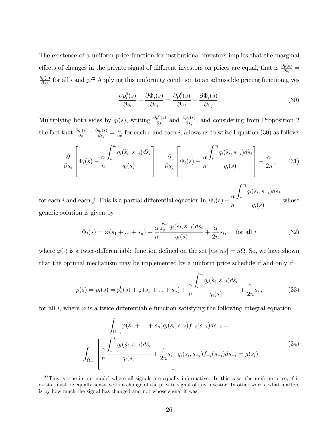The existence of a uniform price function for institutional investors implies that the marginal effects of changes in the private signal of different investors on prices are equal, that is  $\frac{\partial p(s)}{\partial s_i}$  =  $\partial p(s)$  $\frac{\partial p(s)}{\partial s_j}$  for all i and j.<sup>22</sup> Applying this uniformity condition to an admissible pricing function gives

$$
\frac{\partial p_i^0(s)}{\partial s_i} + \frac{\partial \Phi_i(s)}{\partial s_i} = \frac{\partial p_i^0(s)}{\partial s_j} + \frac{\partial \Phi_i(s)}{\partial s_j}.
$$
\n(30)

Multiplying both sides by  $q_i(s)$ , writing  $\frac{\partial p_i^0(s)}{\partial s_i}$  $\frac{p_i^0(s)}{\partial s_i}$  and  $\frac{\partial p_i^0(s)}{\partial s_j}$  $\frac{\rho_i^s(s)}{\partial s_j}$ , and considering from Proposition 2 the fact that  $\frac{\partial q_i(s)}{\partial s_i} - \frac{\partial q_i(s)}{\partial s_j}$  $\frac{q_i(s)}{\partial s_j} = \frac{\alpha}{n\delta}$  for each s and each i, allows us to write Equation (30) as follows

$$
\frac{\partial}{\partial s_i} \left[ \Phi_i(s) - \frac{\alpha}{n} \frac{\int_s^{s_i} q_i(\widetilde{s}_i, s_{-i}) d\widetilde{s}_i}{q_i(s)} \right] = \frac{\partial}{\partial s_j} \left[ \Phi_i(s) - \frac{\alpha}{n} \frac{\int_s^{s_i} q_i(\widetilde{s}_i, s_{-i}) d\widetilde{s}_i}{q_i(s)} \right] + \frac{\alpha}{2n}, \quad (31)
$$

for each i and each j. This is a partial differential equation in  $\Phi_i(s)$  –  $\alpha$ n  $\int s_i$  $q_i(\widetilde{s}_i, s_{-i})d\widetilde{s}_i$  $q_i(s)$ whose generic solution is given by

$$
\Phi_i(s) = \varphi(s_1 + \dots + s_n) + \frac{\alpha}{n} \frac{\int_s^{s_i} q_i(\widetilde{s}_i, s_{-i}) d\widetilde{s}_i}{q_i(s)} + \frac{\alpha}{2n} s_i, \quad \text{for all } i
$$
\n(32)

where  $\varphi(\cdot)$  is a twice-differentiable function defined on the set  $[n\underline{s}, n\overline{s}] = n\Omega$ . So, we have shown that the optimal mechanism may be implemented by a uniform price schedule if and only if

$$
p(s) = p_i(s) = p_i^0(s) + \varphi(s_1 + \dots + s_n) + \frac{\alpha}{n} \frac{\int_s^{s_i} q_i(\tilde{s}_i, s_{-i}) d\tilde{s}_i}{q_i(s)} + \frac{\alpha}{2n} s_i,
$$
(33)

for all i, where  $\varphi$  is a twice differentiable function satisfying the following integral equation

$$
\int_{\Omega_{-i}} \varphi(s_1 + \dots + s_n) q_i(s_i, s_{-i}) f_{-i}(s_{-i}) ds_{-i} =
$$
\n
$$
-\int_{\Omega_{-i}} \left[ \frac{\alpha}{n} \frac{\int_s^{s_i} q_i(\widetilde{s}_i, s_{-i}) d\widetilde{s}_i}{q_i(s)} + \frac{\alpha}{2n} s_i \right] q_i(s_i, s_{-i}) f_{-i}(s_{-i}) ds_{-i} = g(s_i).
$$
\n(34)

 $^{22}$ This is true in our model where all signals are equally informative. In this case, the uniform price, if it exists, must be equally sensitive to a change of the private signal of any investor. In other words, what matters is by how much the signal has changed and not whose signal it was.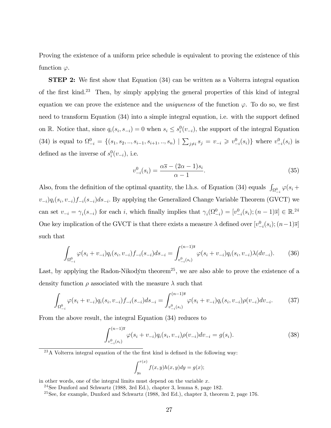Proving the existence of a uniform price schedule is equivalent to proving the existence of this function  $\varphi$ .

**STEP 2:** We first show that Equation (34) can be written as a Volterra integral equation of the first kind.<sup>23</sup> Then, by simply applying the general properties of this kind of integral equation we can prove the existence and the *uniqueness* of the function  $\varphi$ . To do so, we first need to transform Equation (34) into a simple integral equation, i.e. with the support defined on R. Notice that, since  $q_i(s_i, s_{-i}) = 0$  when  $s_i \leq s_i^0(v_{-i})$ , the support of the integral Equation (34) is equal to  $\Omega_{-i}^0 = \{(s_1, s_2, ..., s_{i-1}, s_{i+1}, ..., s_n) \mid \sum_{j\neq i} s_j = v_{-i} \geq v_{-i}^0(s_i)\}\$  where  $v_{-i}^0(s_i)$  is defined as the inverse of  $s_i^0(v_{-i})$ , i.e.

$$
v_{-i}^{0}(s_i) = \frac{\alpha \bar{s} - (2\alpha - 1)s_i}{\alpha - 1}.
$$
\n(35)

Also, from the definition of the optimal quantity, the l.h.s. of Equation (34) equals  $\int_{\Omega_{-i}^0} \varphi(s_i +$  $(v_{-i})q_i(s_i, v_{-i})f_{-i}(s_{-i})ds_{-i}$ . By applying the Generalized Change Variable Theorem (GVCT) we can set  $v_{-i} = \gamma_i(s_{-i})$  for each i, which finally implies that  $\gamma_i(\Omega_{-i}^0) = [v_{-i}^0(s_i); (n-1)\overline{s}] \in \mathbb{R}^{24}$ One key implication of the GVCT is that there exists a measure  $\lambda$  defined over  $[v_{-i}^0(s_i); (n-1)\overline{s}]$ such that

$$
\int_{\Omega_{-i}^0} \varphi(s_i + v_{-i}) q_i(s_i, v_{-i}) f_{-i}(s_{-i}) ds_{-i} = \int_{v_{-i}^0(s_i)}^{(n-1)\overline{s}} \varphi(s_i + v_{-i}) q_i(s_i, v_{-i}) \lambda(dv_{-i}).
$$
 (36)

Last, by applying the Radon-Nikodým theorem<sup>25</sup>, we are also able to prove the existence of a density function  $\rho$  associated with the measure  $\lambda$  such that

$$
\int_{\Omega_{-i}^{0}} \varphi(s_i + v_{-i}) q_i(s_i, v_{-i}) f_{-i}(s_{-i}) ds_{-i} = \int_{v_{-i}^{0}(s_i)}^{(n-1)\overline{s}} \varphi(s_i + v_{-i}) q_i(s_i, v_{-i}) \rho(v_{-i}) dv_{-i}.
$$
 (37)

From the above result, the integral Equation (34) reduces to

$$
\int_{v_{-i}^0(s_i)}^{(n-1)\overline{s}} \varphi(s_i + v_{-i}) q_i(s_i, v_{-i}) \rho(v_{-i}) dv_{-i} = g(s_i). \tag{38}
$$

$$
\int_{y_0}^{\tau(x)} f(x, y)h(x, y)dy = g(x);
$$

 $^{23}$ A Volterra integral equation of the the first kind is defined in the following way:

in other words, one of the integral limits must depend on the variable  $x$ .

<sup>&</sup>lt;sup>24</sup>See Dunford and Schwartz (1988, 3rd Ed.), chapter 3, lemma 8, page 182.

<sup>&</sup>lt;sup>25</sup>See, for example, Dunford and Schwartz (1988, 3rd Ed.), chapter 3, theorem 2, page 176.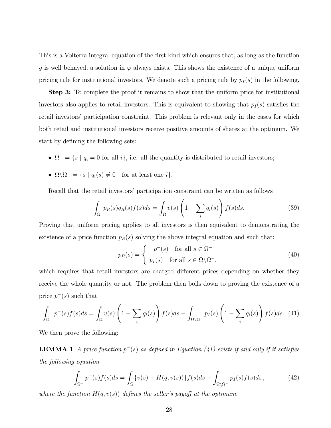This is a Volterra integral equation of the first kind which ensures that, as long as the function g is well behaved, a solution in  $\varphi$  always exists. This shows the existence of a unique uniform pricing rule for institutional investors. We denote such a pricing rule by  $p_I(s)$  in the following.

**Step 3:** To complete the proof it remains to show that the uniform price for institutional investors also applies to retail investors. This is equivalent to showing that  $p_I(s)$  satisfies the retail investors' participation constraint. This problem is relevant only in the cases for which both retail and institutional investors receive positive amounts of shares at the optimum. We start by defining the following sets:

- $\Omega^- = \{s \mid q_i = 0 \text{ for all } i\},\$ i.e. all the quantity is distributed to retail investors;
- $\Omega \backslash \Omega^- = \{ s \mid q_i(s) \neq 0 \text{ for at least one } i \}.$

Recall that the retail investors' participation constraint can be written as follows

$$
\int_{\Omega} p_R(s) q_R(s) f(s) ds = \int_{\Omega} v(s) \left( 1 - \sum_{i} q_i(s) \right) f(s) ds.
$$
\n(39)

Proving that uniform pricing applies to all investors is then equivalent to demonstrating the existence of a price function  $p_R(s)$  solving the above integral equation and such that:

$$
p_R(s) = \begin{cases} p^-(s) & \text{for all } s \in \Omega^- \\ p_I(s) & \text{for all } s \in \Omega \backslash \Omega^- . \end{cases}
$$
 (40)

which requires that retail investors are charged different prices depending on whether they receive the whole quantity or not. The problem then boils down to proving the existence of a price  $p^{-}(s)$  such that

$$
\int_{\Omega^-} p^-(s) f(s) ds = \int_{\Omega} v(s) \left( 1 - \sum_i q_i(s) \right) f(s) ds - \int_{\Omega \setminus \Omega^-} p_I(s) \left( 1 - \sum_i q_i(s) \right) f(s) ds. \tag{41}
$$

We then prove the following:

**LEMMA 1** A price function  $p^-(s)$  as defined in Equation (41) exists if and only if it satisfies the following equation

$$
\int_{\Omega^-} p^-(s)f(s)ds = \int_{\Omega} \{v(s) + H(q, v(s))\} f(s)ds - \int_{\Omega \setminus \Omega^-} p_I(s)f(s)ds, \tag{42}
$$

where the function  $H(q, v(s))$  defines the seller's payoff at the optimum.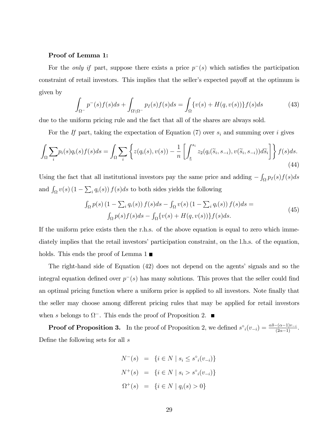#### Proof of Lemma 1:

For the *only if* part, suppose there exists a price  $p^-(s)$  which satisfies the participation constraint of retail investors. This implies that the seller's expected payoff at the optimum is given by

$$
\int_{\Omega^-} p^-(s)f(s)ds + \int_{\Omega \setminus \Omega^-} p_I(s)f(s)ds = \int_{\Omega} \{v(s) + H(q, v(s))\}f(s)ds \tag{43}
$$

due to the uniform pricing rule and the fact that all of the shares are always sold.

For the If part, taking the expectation of Equation  $(7)$  over  $s_i$  and summing over i gives

$$
\int_{\Omega} \sum_{i} p_i(s) q_i(s) f(s) ds = \int_{\Omega} \sum_{i} \left\{ z(q_i(s), v(s)) - \frac{1}{n} \left[ \int_{\underline{s}}^{s_i} z_2(q_i(\widetilde{s}_i, s_{-i}), v(\widetilde{s}_i, s_{-i})) d\widetilde{s}_i \right] \right\} f(s) ds.
$$
\n(44)

Using the fact that all institutional investors pay the same price and adding  $-\int_{\Omega} p_I(s) f(s) ds$ and  $\int_{\Omega} v(s) (1 - \sum_{i} q_i(s)) f(s) ds$  to both sides yields the following

$$
\int_{\Omega} p(s) (1 - \sum_{i} q_{i}(s)) f(s) ds - \int_{\Omega} v(s) (1 - \sum_{i} q_{i}(s)) f(s) ds =
$$
\n
$$
\int_{\Omega} p(s) f(s) ds - \int_{\Omega} \{v(s) + H(q, v(s))\} f(s) ds.
$$
\n(45)

If the uniform price exists then the r.h.s. of the above equation is equal to zero which immediately implies that the retail investors' participation constraint, on the l.h.s. of the equation, holds. This ends the proof of Lemma  $1 \blacksquare$ 

The right-hand side of Equation (42) does not depend on the agents' signals and so the integral equation defined over  $p^{-}(s)$  has many solutions. This proves that the seller could find an optimal pricing function where a uniform price is applied to all investors. Note finally that the seller may choose among different pricing rules that may be applied for retail investors when s belongs to  $\Omega^-$ . This ends the proof of Proposition 2.

**Proof of Proposition 3.** In the proof of Proposition 2, we defined  $s^{\circ_i}(v_{-i}) = \frac{\alpha \bar{s} - (\alpha - 1)v_{-i}}{(2\alpha - 1)}$ . Define the following sets for all  $s$ 

$$
N^{-}(s) = \{ i \in N \mid s_{i} \le s^{\circ}_{i}(v_{-i}) \}
$$
  

$$
N^{+}(s) = \{ i \in N \mid s_{i} > s^{\circ}_{i}(v_{-i}) \}
$$
  

$$
\Omega^{+}(s) = \{ i \in N \mid q_{i}(s) > 0 \}
$$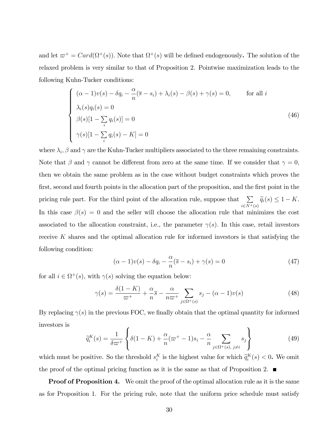and let  $\overline{\omega}^+ = Card(\Omega^+(s))$ . Note that  $\Omega^+(s)$  will be defined endogenously. The solution of the relaxed problem is very similar to that of Proposition 2. Pointwise maximization leads to the following Kuhn-Tucker conditions:

$$
\begin{cases}\n(\alpha - 1)v(s) - \delta q_i - \frac{\alpha}{n}(\overline{s} - s_i) + \lambda_i(s) - \beta(s) + \gamma(s) = 0, & \text{for all } i \\
\lambda_i(s)q_i(s) = 0 & \beta(s)[1 - \sum_i q_i(s)] = 0 \\
\gamma(s)[1 - \sum_i q_i(s) - K] = 0 & \text{(46)}\n\end{cases}
$$

where  $\lambda_i$ ,  $\beta$  and  $\gamma$  are the Kuhn-Tucker multipliers associated to the three remaining constraints. Note that  $\beta$  and  $\gamma$  cannot be different from zero at the same time. If we consider that  $\gamma = 0$ , then we obtain the same problem as in the case without budget constraints which proves the first, second and fourth points in the allocation part of the proposition, and the first point in the pricing rule part. For the third point of the allocation rule, suppose that  $\sum$  $\sum_{i\in N^+(s)} \widetilde{q}_i(s) \leq 1-K.$ In this case  $\beta(s) = 0$  and the seller will choose the allocation rule that minimizes the cost associated to the allocation constraint, i.e., the parameter  $\gamma(s)$ . In this case, retail investors receive  $K$  shares and the optimal allocation rule for informed investors is that satisfying the following condition:

$$
(\alpha - 1)v(s) - \delta q_i - \frac{\alpha}{n}(\overline{s} - s_i) + \gamma(s) = 0
$$
\n(47)

for all  $i \in \Omega^+(s)$ , with  $\gamma(s)$  solving the equation below:

$$
\gamma(s) = \frac{\delta(1-K)}{\varpi^+} + \frac{\alpha}{n^s} - \frac{\alpha}{n\varpi^+} \sum_{j \in \Omega^+(s)} s_j - (\alpha - 1)v(s) \tag{48}
$$

By replacing  $\gamma(s)$  in the previous FOC, we finally obtain that the optimal quantity for informed investors is  $\epsilon$  $\mathbf{v}$ 

$$
\widetilde{q}_i^K(s) = \frac{1}{\delta \varpi^+} \left\{ \delta(1 - K) + \frac{\alpha}{n} (\varpi^+ - 1)s_i - \frac{\alpha}{n} \sum_{j \in \Omega^+(s), j \neq i} s_j \right\} \tag{49}
$$

which must be positive. So the threshold  $s_i^K$  is the highest value for which  $\tilde{q}_i^K(s) < 0$ . We omit the proof of the optimal pricing function as it is the same as that of Proposition 2.

**Proof of Proposition 4.** We omit the proof of the optimal allocation rule as it is the same as for Proposition 1. For the pricing rule, note that the uniform price schedule must satisfy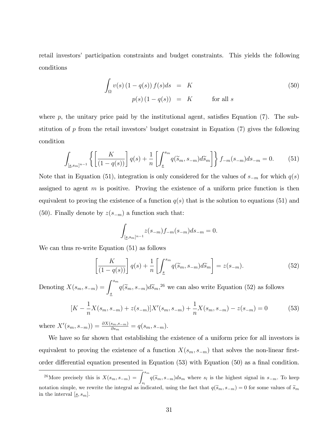retail investorsí participation constraints and budget constraints. This yields the following conditions

$$
\int_{\Omega} v(s) (1 - q(s)) f(s) ds = K
$$
\n
$$
p(s) (1 - q(s)) = K \quad \text{for all } s
$$
\n(50)

where  $p$ , the unitary price paid by the institutional agent, satisfies Equation (7). The substitution of  $p$  from the retail investors' budget constraint in Equation (7) gives the following condition

$$
\int_{\left[\underline{s},s_m\right]^{n-1}}\left\{\left[\frac{K}{\left(1-q(s)\right)}\right]q(s)+\frac{1}{n}\left[\int_{\underline{s}}^{s_m}q(\widetilde{s}_m,s_{-m})d\widetilde{s}_m\right]\right\}f_{-m}(s_{-m})ds_{-m}=0.\tag{51}
$$

Note that in Equation (51), integration is only considered for the values of  $s_{-m}$  for which  $q(s)$ assigned to agent  $m$  is positive. Proving the existence of a uniform price function is then equivalent to proving the existence of a function  $q(s)$  that is the solution to equations (51) and (50). Finally denote by  $z(s_{-m})$  a function such that:

$$
\int_{[\underline{s},s_m]^{n-1}} z(s_{-m}) f_{-m}(s_{-m}) ds_{-m} = 0.
$$

We can thus re-write Equation (51) as follows

$$
\left[\frac{K}{(1-q(s))}\right]q(s) + \frac{1}{n}\left[\int_{\underline{s}}^{s_m} q(\widetilde{s}_m, s_{-m}) d\widetilde{s}_m\right] = z(s_{-m}).\tag{52}
$$

Denoting  $X(s_m, s_{-m}) = \int_s^{s_m} q(\widetilde{s}_m, s_{-m}) d\widetilde{s}_m^{26}$ , we can also write Equation (52) as follows

$$
[K - \frac{1}{n}X(s_m, s_{-m}) + z(s_{-m})]X'(s_m, s_{-m}) + \frac{1}{n}X(s_m, s_{-m}) - z(s_{-m}) = 0
$$
(53)

where  $X'(s_m, s_{-m}) = \frac{\partial X(s_m, s_{-m})}{\partial s_m} = q(s_m, s_{-m}).$ 

We have so far shown that establishing the existence of a uniform price for all investors is equivalent to proving the existence of a function  $X(s_m, s_{-m})$  that solves the non-linear firstorder differential equation presented in Equation  $(53)$  with Equation  $(50)$  as a final condition.

<sup>&</sup>lt;sup>26</sup>More precisely this is  $X(s_m, s_{-m}) = \int_{s_l}^{s_m} q(\widetilde{s}_m, s_{-m}) ds_m$  where  $s_l$  is the highest signal in  $s_{-m}$ . To keep notation simple, we rewrite the integral as indicated, using the fact that  $q(\tilde{s}_m, s_{-m}) = 0$  for some values of  $\tilde{s}_m$ in the interval  $[\underline{s}, s_m]$ .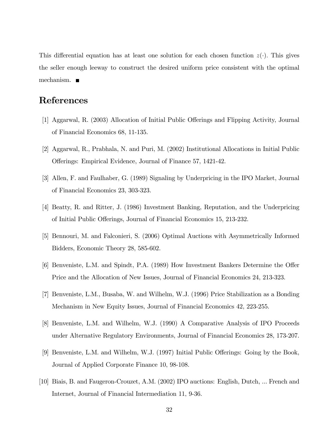This differential equation has at least one solution for each chosen function  $z(.)$ . This gives the seller enough leeway to construct the desired uniform price consistent with the optimal mechanism.

## References

- [1] Aggarwal, R. (2003) Allocation of Initial Public Offerings and Flipping Activity, Journal of Financial Economics 68, 11-135.
- [2] Aggarwal, R., Prabhala, N. and Puri, M. (2002) Institutional Allocations in Initial Public Offerings: Empirical Evidence, Journal of Finance 57, 1421-42.
- [3] Allen, F. and Faulhaber, G. (1989) Signaling by Underpricing in the IPO Market, Journal of Financial Economics 23, 303-323.
- [4] Beatty, R. and Ritter, J. (1986) Investment Banking, Reputation, and the Underpricing of Initial Public Offerings, Journal of Financial Economics 15, 213-232.
- [5] Bennouri, M. and Falconieri, S. (2006) Optimal Auctions with Asymmetrically Informed Bidders, Economic Theory 28, 585-602.
- [6] Benveniste, L.M. and Spindt, P.A. (1989) How Investment Bankers Determine the Offer Price and the Allocation of New Issues, Journal of Financial Economics 24, 213-323.
- [7] Benveniste, L.M., Busaba, W. and Wilhelm, W.J. (1996) Price Stabilization as a Bonding Mechanism in New Equity Issues, Journal of Financial Economics 42, 223-255.
- [8] Benveniste, L.M. and Wilhelm, W.J. (1990) A Comparative Analysis of IPO Proceeds under Alternative Regulatory Environments, Journal of Financial Economics 28, 173-207.
- [9] Benveniste, L.M. and Wilhelm, W.J. (1997) Initial Public Offerings: Going by the Book, Journal of Applied Corporate Finance 10, 98-108.
- [10] Biais, B. and Faugeron-Crouzet, A.M. (2002) IPO auctions: English, Dutch, ... French and Internet, Journal of Financial Intermediation 11, 9-36.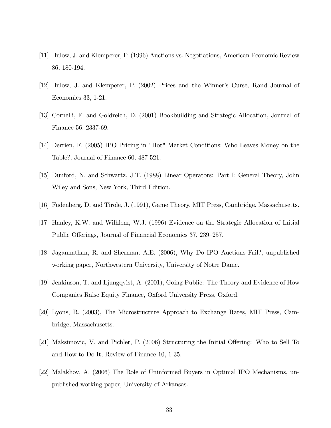- [11] Bulow, J. and Klemperer, P. (1996) Auctions vs. Negotiations, American Economic Review 86, 180-194.
- [12] Bulow, J. and Klemperer, P. (2002) Prices and the Winner's Curse, Rand Journal of Economics 33, 1-21.
- [13] Cornelli, F. and Goldreich, D. (2001) Bookbuilding and Strategic Allocation, Journal of Finance 56, 2337-69.
- [14] Derrien, F. (2005) IPO Pricing in "Hot" Market Conditions: Who Leaves Money on the Table?, Journal of Finance 60, 487-521.
- [15] Dunford, N. and Schwartz, J.T. (1988) Linear Operators: Part I: General Theory, John Wiley and Sons, New York, Third Edition.
- [16] Fudenberg, D. and Tirole, J. (1991), Game Theory, MIT Press, Cambridge, Massachusetts.
- [17] Hanley, K.W. and Wilhlem, W.J. (1996) Evidence on the Strategic Allocation of Initial Public Offerings, Journal of Financial Economics 37, 239–257.
- [18] Jagannathan, R. and Sherman, A.E. (2006), Why Do IPO Auctions Fail?, unpublished working paper, Northwestern University, University of Notre Dame.
- [19] Jenkinson, T. and Ljungqvist, A. (2001), Going Public: The Theory and Evidence of How Companies Raise Equity Finance, Oxford University Press, Oxford.
- [20] Lyons, R. (2003), The Microstructure Approach to Exchange Rates, MIT Press, Cambridge, Massachusetts.
- [21] Maksimovic, V. and Pichler, P. (2006) Structuring the Initial Offering: Who to Sell To and How to Do It, Review of Finance 10, 1-35.
- [22] Malakhov, A. (2006) The Role of Uninformed Buyers in Optimal IPO Mechanisms, unpublished working paper, University of Arkansas.